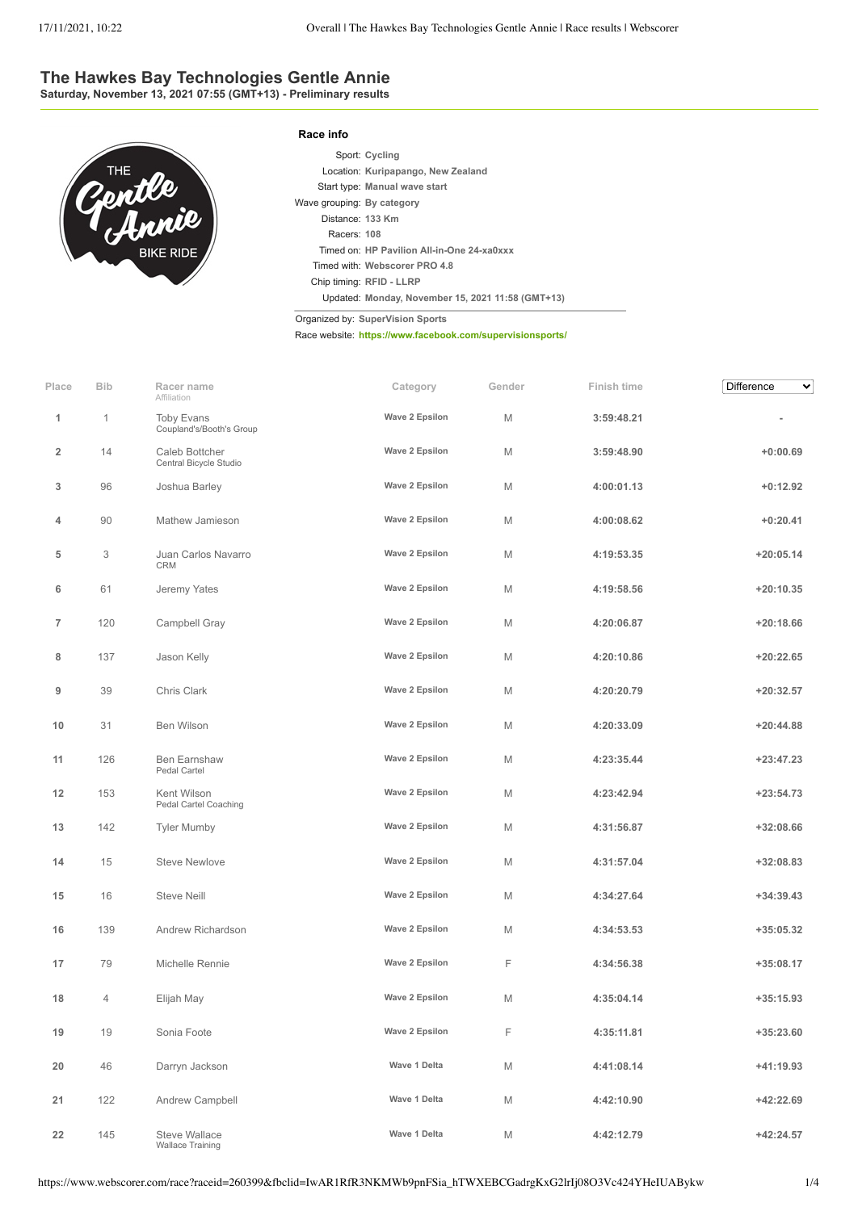## **The Hawkes Bay Technologies Gentle Annie**

**Saturday, November 13, 2021 07:55 (GMT+13) - Preliminary results**



|                            | Sport: Cycling                                    |
|----------------------------|---------------------------------------------------|
|                            | Location: Kuripapango, New Zealand                |
|                            | Start type: Manual wave start                     |
| Wave grouping: By category |                                                   |
| Distance: 133 Km           |                                                   |
| Racers: 108                |                                                   |
|                            | Timed on: HP Pavilion All-in-One 24-xa0xxx        |
|                            | Timed with: Webscorer PRO 4.8                     |
|                            | Chip timing: RFID - LLRP                          |
|                            | Updated: Monday, November 15, 2021 11:58 (GMT+13) |

Organized by: **SuperVision Sports**

**Race info**

Race website: **<https://www.facebook.com/supervisionsports/>**

| Place          | <b>Bib</b> | Racer name<br>Affiliation                       | Category       | Gender | Finish time | Difference<br>$\checkmark$ |
|----------------|------------|-------------------------------------------------|----------------|--------|-------------|----------------------------|
| 1              | 1          | <b>Toby Evans</b><br>Coupland's/Booth's Group   | Wave 2 Epsilon | M      | 3:59:48.21  | ۰                          |
| $\overline{2}$ | 14         | Caleb Bottcher<br>Central Bicycle Studio        | Wave 2 Epsilon | M      | 3:59:48.90  | $+0:00.69$                 |
| 3              | 96         | Joshua Barley                                   | Wave 2 Epsilon | M      | 4:00:01.13  | $+0:12.92$                 |
| 4              | 90         | Mathew Jamieson                                 | Wave 2 Epsilon | M      | 4:00:08.62  | $+0:20.41$                 |
| 5              | 3          | Juan Carlos Navarro<br>CRM                      | Wave 2 Epsilon | M      | 4:19:53.35  | $+20:05.14$                |
| 6              | 61         | Jeremy Yates                                    | Wave 2 Epsilon | M      | 4:19:58.56  | +20:10.35                  |
| $\overline{7}$ | 120        | Campbell Gray                                   | Wave 2 Epsilon | M      | 4:20:06.87  | +20:18.66                  |
| 8              | 137        | Jason Kelly                                     | Wave 2 Epsilon | M      | 4:20:10.86  | $+20:22.65$                |
| 9              | 39         | Chris Clark                                     | Wave 2 Epsilon | M      | 4:20:20.79  | +20:32.57                  |
| 10             | 31         | Ben Wilson                                      | Wave 2 Epsilon | M      | 4:20:33.09  | $+20:44.88$                |
| 11             | 126        | <b>Ben Earnshaw</b><br>Pedal Cartel             | Wave 2 Epsilon | M      | 4:23:35.44  | +23:47.23                  |
| 12             | 153        | Kent Wilson<br>Pedal Cartel Coaching            | Wave 2 Epsilon | M      | 4:23:42.94  | $+23:54.73$                |
| 13             | 142        | <b>Tyler Mumby</b>                              | Wave 2 Epsilon | M      | 4:31:56.87  | +32:08.66                  |
| 14             | 15         | <b>Steve Newlove</b>                            | Wave 2 Epsilon | M      | 4:31:57.04  | +32:08.83                  |
| 15             | 16         | <b>Steve Neill</b>                              | Wave 2 Epsilon | M      | 4:34:27.64  | +34:39.43                  |
| 16             | 139        | Andrew Richardson                               | Wave 2 Epsilon | M      | 4:34:53.53  | +35:05.32                  |
| 17             | 79         | Michelle Rennie                                 | Wave 2 Epsilon | F      | 4:34:56.38  | +35:08.17                  |
| 18             | 4          | Elijah May                                      | Wave 2 Epsilon | M      | 4:35:04.14  | $+35:15.93$                |
| 19             | 19         | Sonia Foote                                     | Wave 2 Epsilon | F      | 4:35:11.81  | $+35:23.60$                |
| 20             | 46         | Darryn Jackson                                  | Wave 1 Delta   | M      | 4:41:08.14  | +41:19.93                  |
| 21             | 122        | Andrew Campbell                                 | Wave 1 Delta   | М      | 4:42:10.90  | +42:22.69                  |
| 22             | 145        | <b>Steve Wallace</b><br><b>Wallace Training</b> | Wave 1 Delta   | М      | 4:42:12.79  | $+42:24.57$                |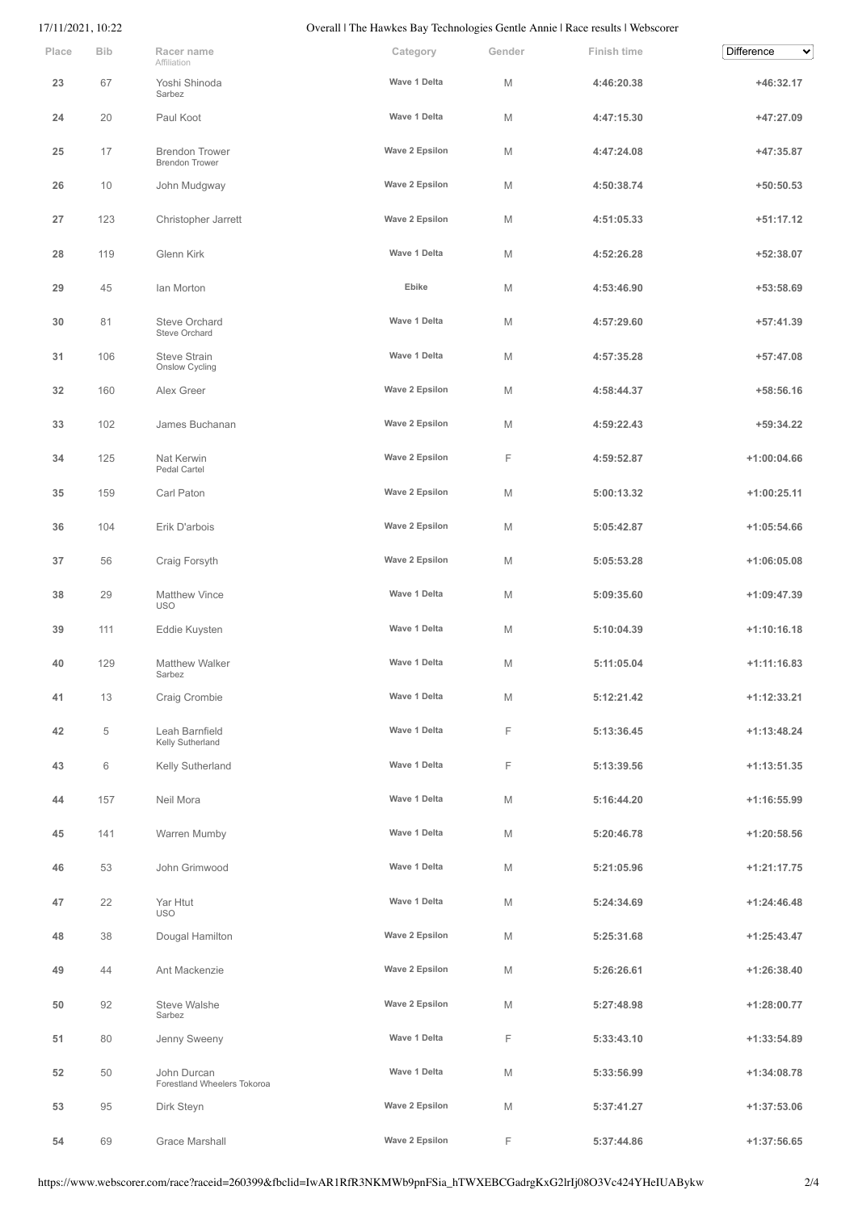## 17/11/2021, 10:22 Overall | The Hawkes Bay Technologies Gentle Annie | Race results | Webscorer

| Place | <b>Bib</b> | Racer name<br>Affiliation                      | Category       | Gender | <b>Finish time</b> | <b>Difference</b><br>$\checkmark$ |
|-------|------------|------------------------------------------------|----------------|--------|--------------------|-----------------------------------|
| 23    | 67         | Yoshi Shinoda<br>Sarbez                        | Wave 1 Delta   | M      | 4:46:20.38         | $+46:32.17$                       |
| 24    | 20         | Paul Koot                                      | Wave 1 Delta   | M      | 4:47:15.30         | +47:27.09                         |
| 25    | 17         | <b>Brendon Trower</b><br><b>Brendon Trower</b> | Wave 2 Epsilon | M      | 4:47:24.08         | +47:35.87                         |
| 26    | 10         | John Mudgway                                   | Wave 2 Epsilon | M      | 4:50:38.74         | $+50:50.53$                       |
| 27    | 123        | Christopher Jarrett                            | Wave 2 Epsilon | M      | 4:51:05.33         | $+51:17.12$                       |
| 28    | 119        | Glenn Kirk                                     | Wave 1 Delta   | M      | 4:52:26.28         | +52:38.07                         |
| 29    | 45         | Ian Morton                                     | Ebike          | M      | 4:53:46.90         | +53:58.69                         |
| 30    | 81         | <b>Steve Orchard</b><br>Steve Orchard          | Wave 1 Delta   | M      | 4:57:29.60         | $+57:41.39$                       |
| 31    | 106        | <b>Steve Strain</b><br>Onslow Cycling          | Wave 1 Delta   | M      | 4:57:35.28         | $+57:47.08$                       |
| 32    | 160        | Alex Greer                                     | Wave 2 Epsilon | M      | 4:58:44.37         | $+58:56.16$                       |
| 33    | 102        | James Buchanan                                 | Wave 2 Epsilon | M      | 4:59:22.43         | $+59:34.22$                       |
| 34    | 125        | Nat Kerwin<br>Pedal Cartel                     | Wave 2 Epsilon | F      | 4:59:52.87         | $+1:00:04.66$                     |
| 35    | 159        | Carl Paton                                     | Wave 2 Epsilon | M      | 5:00:13.32         | $+1:00:25.11$                     |
| 36    | 104        | Erik D'arbois                                  | Wave 2 Epsilon | M      | 5:05:42.87         | $+1:05:54.66$                     |
| 37    | 56         | Craig Forsyth                                  | Wave 2 Epsilon | M      | 5:05:53.28         | $+1:06:05.08$                     |
| 38    | 29         | <b>Matthew Vince</b><br><b>USO</b>             | Wave 1 Delta   | M      | 5:09:35.60         | $+1:09:47.39$                     |
| 39    | 111        | Eddie Kuysten                                  | Wave 1 Delta   | М      | 5:10:04.39         | $+1:10:16.18$                     |
| 40    | 129        | <b>Matthew Walker</b><br>Sarbez                | Wave 1 Delta   | M      | 5:11:05.04         | $+1:11:16.83$                     |
| 41    | 13         | Craig Crombie                                  | Wave 1 Delta   | M      | 5:12:21.42         | $+1:12:33.21$                     |
| 42    | 5          | Leah Barnfield<br>Kelly Sutherland             | Wave 1 Delta   | F      | 5:13:36.45         | $+1:13:48.24$                     |
| 43    | 6          | Kelly Sutherland                               | Wave 1 Delta   | F.     | 5:13:39.56         | $+1:13:51.35$                     |
| 44    | 157        | Neil Mora                                      | Wave 1 Delta   | M      | 5:16:44.20         | $+1:16:55.99$                     |
| 45    | 141        | Warren Mumby                                   | Wave 1 Delta   | M      | 5:20:46.78         | $+1:20:58.56$                     |
| 46    | 53         | John Grimwood                                  | Wave 1 Delta   | M      | 5:21:05.96         | $+1:21:17.75$                     |
| 47    | 22         | Yar Htut<br><b>USO</b>                         | Wave 1 Delta   | M      | 5:24:34.69         | $+1:24:46.48$                     |
| 48    | 38         | Dougal Hamilton                                | Wave 2 Epsilon | M      | 5:25:31.68         | $+1:25:43.47$                     |
| 49    | 44         | Ant Mackenzie                                  | Wave 2 Epsilon | M      | 5:26:26.61         | $+1:26:38.40$                     |
| 50    | 92         | Steve Walshe<br>Sarbez                         | Wave 2 Epsilon | M      | 5:27:48.98         | $+1:28:00.77$                     |
| 51    | 80         | Jenny Sweeny                                   | Wave 1 Delta   | F.     | 5:33:43.10         | $+1:33:54.89$                     |
| 52    | 50         | John Durcan<br>Forestland Wheelers Tokoroa     | Wave 1 Delta   | M      | 5:33:56.99         | $+1:34:08.78$                     |
| 53    | 95         | Dirk Steyn                                     | Wave 2 Epsilon | M      | 5:37:41.27         | $+1:37:53.06$                     |
| 54    | 69         | Grace Marshall                                 | Wave 2 Epsilon | F      | 5:37:44.86         | $+1:37:56.65$                     |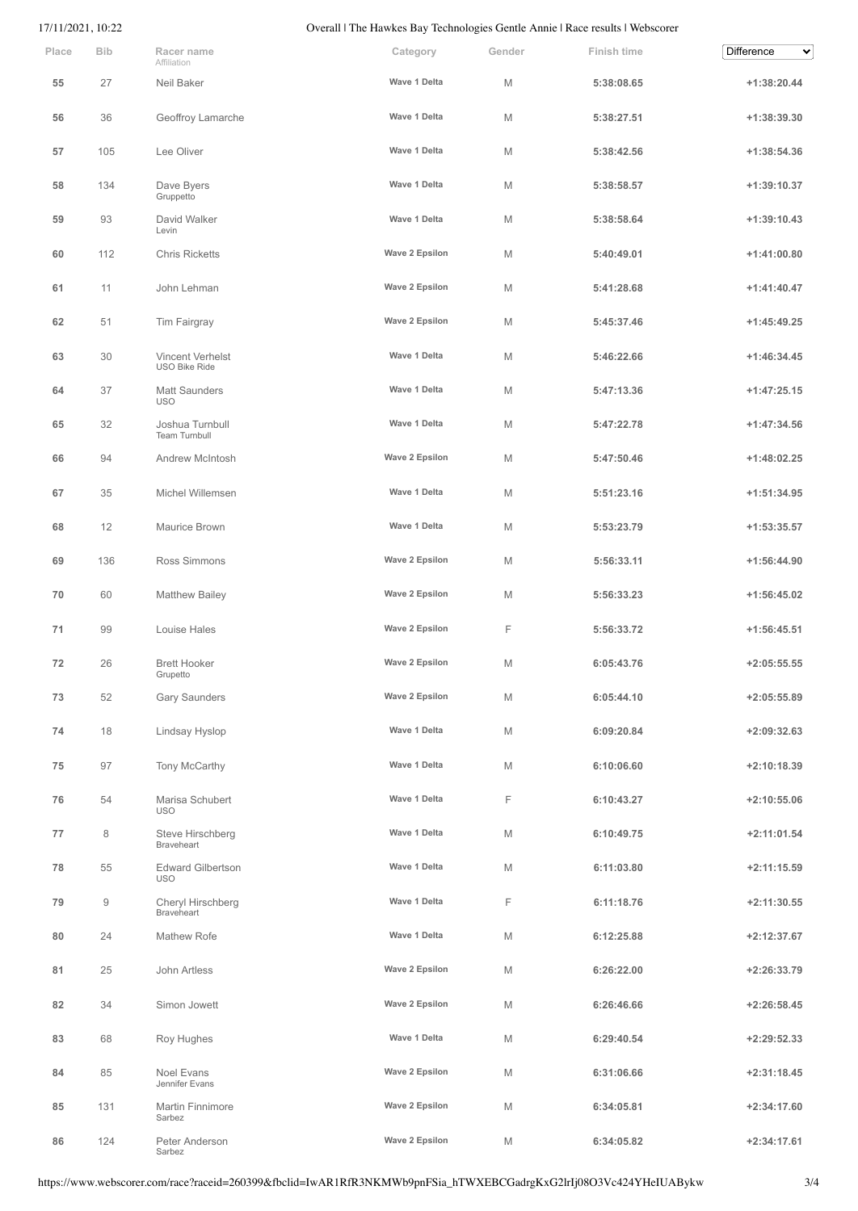## 17/11/2021, 10:22 Overall | The Hawkes Bay Technologies Gentle Annie | Race results | Webscorer

| Place | <b>Bib</b> | Racer name<br>Affiliation                | Category       | Gender | Finish time | <b>Difference</b><br>$\checkmark$ |
|-------|------------|------------------------------------------|----------------|--------|-------------|-----------------------------------|
| 55    | 27         | Neil Baker                               | Wave 1 Delta   | М      | 5:38:08.65  | $+1:38:20.44$                     |
| 56    | 36         | Geoffroy Lamarche                        | Wave 1 Delta   | М      | 5:38:27.51  | +1:38:39.30                       |
| 57    | 105        | Lee Oliver                               | Wave 1 Delta   | M      | 5:38:42.56  | $+1:38:54.36$                     |
| 58    | 134        | Dave Byers<br>Gruppetto                  | Wave 1 Delta   | M      | 5:38:58.57  | $+1:39:10.37$                     |
| 59    | 93         | David Walker<br>Levin                    | Wave 1 Delta   | M      | 5:38:58.64  | $+1:39:10.43$                     |
| 60    | 112        | <b>Chris Ricketts</b>                    | Wave 2 Epsilon | M      | 5:40:49.01  | $+1:41:00.80$                     |
| 61    | 11         | John Lehman                              | Wave 2 Epsilon | M      | 5:41:28.68  | $+1:41:40.47$                     |
| 62    | 51         | Tim Fairgray                             | Wave 2 Epsilon | M      | 5:45:37.46  | $+1:45:49.25$                     |
| 63    | 30         | Vincent Verhelst<br><b>USO Bike Ride</b> | Wave 1 Delta   | M      | 5:46:22.66  | $+1:46:34.45$                     |
| 64    | 37         | <b>Matt Saunders</b><br><b>USO</b>       | Wave 1 Delta   | M      | 5:47:13.36  | $+1:47:25.15$                     |
| 65    | 32         | Joshua Turnbull<br><b>Team Turnbull</b>  | Wave 1 Delta   | M      | 5:47:22.78  | $+1:47:34.56$                     |
| 66    | 94         | Andrew McIntosh                          | Wave 2 Epsilon | M      | 5:47:50.46  | $+1:48:02.25$                     |
| 67    | 35         | Michel Willemsen                         | Wave 1 Delta   | M      | 5:51:23.16  | $+1:51:34.95$                     |
| 68    | 12         | Maurice Brown                            | Wave 1 Delta   | M      | 5:53:23.79  | $+1:53:35.57$                     |
| 69    | 136        | Ross Simmons                             | Wave 2 Epsilon | M      | 5:56:33.11  | $+1:56:44.90$                     |
| 70    | 60         | <b>Matthew Bailey</b>                    | Wave 2 Epsilon | M      | 5:56:33.23  | $+1:56:45.02$                     |
| 71    | 99         | Louise Hales                             | Wave 2 Epsilon | F      | 5:56:33.72  | $+1:56:45.51$                     |
| 72    | 26         | <b>Brett Hooker</b><br>Grupetto          | Wave 2 Epsilon | M      | 6:05:43.76  | $+2:05:55.55$                     |
| 73    | 52         | Gary Saunders                            | Wave 2 Epsilon | M      | 6:05:44.10  | $+2:05:55.89$                     |
| 74    | 18         | Lindsay Hyslop                           | Wave 1 Delta   | M      | 6:09:20.84  | $+2:09:32.63$                     |
| 75    | 97         | Tony McCarthy                            | Wave 1 Delta   | M      | 6:10:06.60  | $+2:10:18.39$                     |
| 76    | 54         | Marisa Schubert<br><b>USO</b>            | Wave 1 Delta   | F      | 6:10:43.27  | $+2:10:55.06$                     |
| 77    | 8          | Steve Hirschberg<br><b>Braveheart</b>    | Wave 1 Delta   | M      | 6:10:49.75  | $+2:11:01.54$                     |
| 78    | 55         | <b>Edward Gilbertson</b><br><b>USO</b>   | Wave 1 Delta   | M      | 6:11:03.80  | $+2:11:15.59$                     |
| 79    | 9          | Cheryl Hirschberg<br><b>Braveheart</b>   | Wave 1 Delta   | F      | 6:11:18.76  | +2:11:30.55                       |
| 80    | 24         | Mathew Rofe                              | Wave 1 Delta   | M      | 6:12:25.88  | $+2:12:37.67$                     |
| 81    | 25         | John Artless                             | Wave 2 Epsilon | M      | 6:26:22.00  | $+2:26:33.79$                     |
| 82    | 34         | Simon Jowett                             | Wave 2 Epsilon | M      | 6:26:46.66  | $+2:26:58.45$                     |
| 83    | 68         | Roy Hughes                               | Wave 1 Delta   | M      | 6:29:40.54  | $+2:29:52.33$                     |
| 84    | 85         | Noel Evans<br>Jennifer Evans             | Wave 2 Epsilon | M      | 6:31:06.66  | $+2:31:18.45$                     |
| 85    | 131        | Martin Finnimore<br>Sarbez               | Wave 2 Epsilon | M      | 6:34:05.81  | $+2:34:17.60$                     |
| 86    | 124        | Peter Anderson<br>Sarbez                 | Wave 2 Epsilon | M      | 6:34:05.82  | $+2:34:17.61$                     |